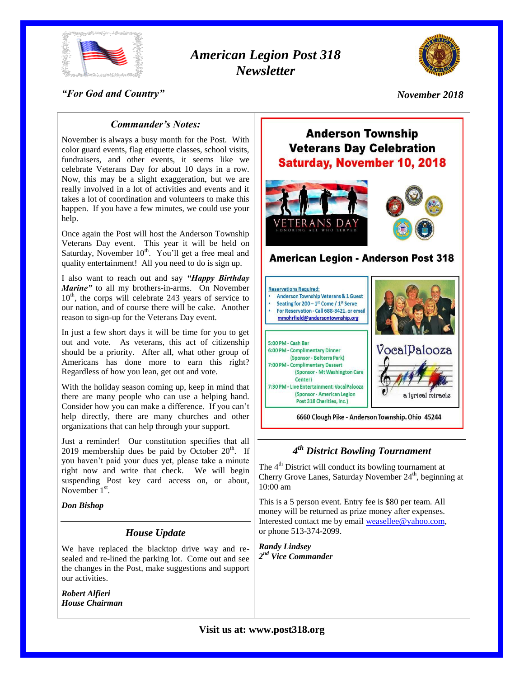

# *American Legion Post 318 Newsletter*



## *"For God and Country"*

*November 2018*

## *Commander's Notes:*

November is always a busy month for the Post. With color guard events, flag etiquette classes, school visits, fundraisers, and other events, it seems like we celebrate Veterans Day for about 10 days in a row. Now, this may be a slight exaggeration, but we are really involved in a lot of activities and events and it takes a lot of coordination and volunteers to make this happen. If you have a few minutes, we could use your help.

Once again the Post will host the Anderson Township Veterans Day event. This year it will be held on Saturday, November  $10<sup>th</sup>$ . You'll get a free meal and quality entertainment! All you need to do is sign up.

I also want to reach out and say *"Happy Birthday Marine"* to all my brothers-in-arms. On November 10<sup>th</sup>, the corps will celebrate 243 years of service to our nation, and of course there will be cake. Another reason to sign-up for the Veterans Day event.

In just a few short days it will be time for you to get out and vote. As veterans, this act of citizenship should be a priority. After all, what other group of Americans has done more to earn this right? Regardless of how you lean, get out and vote.

With the holiday season coming up, keep in mind that there are many people who can use a helping hand. Consider how you can make a difference. If you can't help directly, there are many churches and other organizations that can help through your support.

Just a reminder! Our constitution specifies that all 2019 membership dues be paid by October  $20<sup>th</sup>$ . If you haven't paid your dues yet, please take a minute right now and write that check. We will begin suspending Post key card access on, or about, November  $1<sup>st</sup>$ .

#### *Don Bishop*

## *House Update*

We have replaced the blacktop drive way and resealed and re-lined the parking lot. Come out and see the changes in the Post, make suggestions and support our activities.

*Robert Alfieri House Chairman*

# **Anderson Township Veterans Day Celebration Saturday, November 10, 2018**





## **American Legion - Anderson Post 318**



6660 Clough Pike - Anderson Township. Ohio 45244

## *4 th District Bowling Tournament*

The 4<sup>th</sup> District will conduct its bowling tournament at Cherry Grove Lanes, Saturday November 24<sup>th</sup>, beginning at 10:00 am

This is a 5 person event. Entry fee is \$80 per team. All money will be returned as prize money after expenses. Interested contact me by email [weasellee@yahoo.com,](mailto:weasellee@yahoo.com) or phone 513-374-2099.

*Randy Lindsey 2 nd Vice Commander*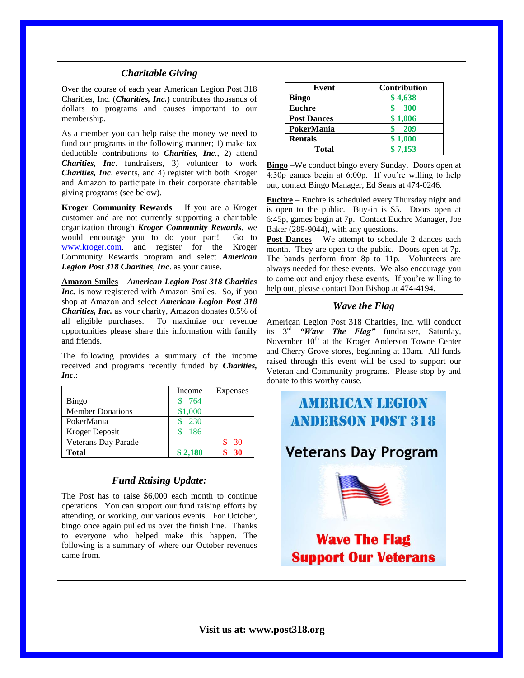#### *Charitable Giving*

Over the course of each year American Legion Post 318 Charities, Inc. (*Charities, Inc.*) contributes thousands of dollars to programs and causes important to our membership.

As a member you can help raise the money we need to fund our programs in the following manner; 1) make tax deductible contributions to *Charities, Inc.*, 2) attend *Charities, Inc*. fundraisers, 3) volunteer to work *Charities, Inc*. events, and 4) register with both Kroger and Amazon to participate in their corporate charitable giving programs (see below).

**Kroger Community Rewards** – If you are a Kroger customer and are not currently supporting a charitable organization through *Kroger Community Rewards*, we would encourage you to do your part! Go to [www.kroger.com,](http://www.kroger.com/) and register for the Kroger Community Rewards program and select *American Legion Post 318 Charities*, *Inc*. as your cause.

**Amazon Smiles** – *American Legion Post 318 Charities Inc.* is now registered with Amazon Smiles. So, if you shop at Amazon and select *American Legion Post 318 Charities, Inc.* as your charity, Amazon donates 0.5% of all eligible purchases. To maximize our revenue opportunities please share this information with family and friends.

The following provides a summary of the income received and programs recently funded by *Charities, Inc*.:

|                         | Income  | Expenses |
|-------------------------|---------|----------|
| <b>Bingo</b>            | 764     |          |
| <b>Member Donations</b> | \$1,000 |          |
| PokerMania              | 230     |          |
| Kroger Deposit          | 186     |          |
| Veterans Day Parade     |         | 30       |
| <b>Total</b>            | \$2,180 | 30       |

## *Fund Raising Update:*

The Post has to raise \$6,000 each month to continue operations. You can support our fund raising efforts by attending, or working, our various events. For October, bingo once again pulled us over the finish line. Thanks to everyone who helped make this happen. The following is a summary of where our October revenues came from.

| Event              | <b>Contribution</b> |
|--------------------|---------------------|
| <b>Bingo</b>       | \$4,638             |
| <b>Euchre</b>      | 300                 |
| <b>Post Dances</b> | \$1,006             |
| PokerMania         | 209                 |
| <b>Rentals</b>     | \$1,000             |
| Total              | \$7,153             |

**Bingo** –We conduct bingo every Sunday. Doors open at 4:30p games begin at 6:00p. If you're willing to help out, contact Bingo Manager, Ed Sears at 474-0246.

**Euchre** – Euchre is scheduled every Thursday night and is open to the public. Buy-in is \$5. Doors open at 6:45p, games begin at 7p. Contact Euchre Manager, Joe Baker (289-9044), with any questions.

**Post Dances** – We attempt to schedule 2 dances each month. They are open to the public. Doors open at 7p. The bands perform from 8p to 11p. Volunteers are always needed for these events. We also encourage you to come out and enjoy these events. If you're willing to help out, please contact Don Bishop at 474-4194.

### *Wave the Flag*

American Legion Post 318 Charities, Inc. will conduct its 3 rd *"Wave The Flag"* fundraiser, Saturday, November 10<sup>th</sup> at the Kroger Anderson Towne Center and Cherry Grove stores, beginning at 10am. All funds raised through this event will be used to support our Veteran and Community programs. Please stop by and donate to this worthy cause.

# **AMERICAN LEGION ANDERSON POST 318 Veterans Day Program Wave The Flag Support Our Veterans**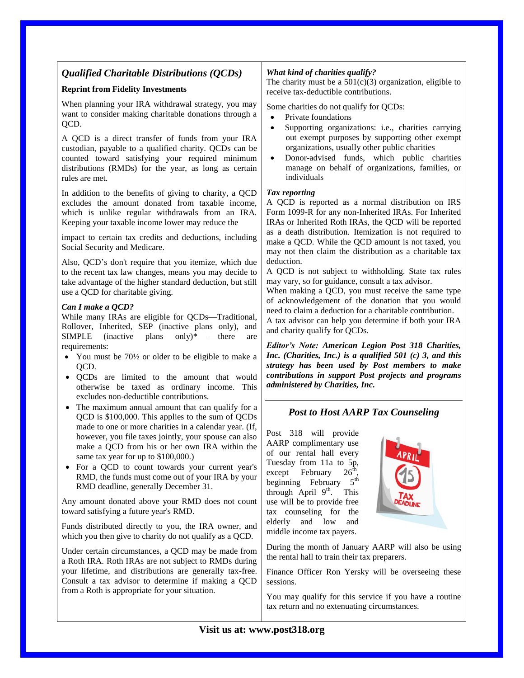## *Qualified Charitable Distributions (QCDs)*

#### **Reprint from Fidelity Investments**

When planning your IRA withdrawal strategy, you may want to consider making charitable donations through a QCD.

A QCD is a direct transfer of funds from your IRA custodian, payable to a qualified charity. QCDs can be counted toward satisfying your required minimum distributions (RMDs) for the year, as long as certain rules are met.

In addition to the benefits of giving to charity, a QCD excludes the amount donated from taxable income, which is unlike regular withdrawals from an IRA. Keeping your taxable income lower may reduce the

impact to certain tax credits and deductions, including Social Security and Medicare.

Also, QCD's don't require that you itemize, which due to the recent tax law changes, means you may decide to take advantage of the higher standard deduction, but still use a QCD for charitable giving.

#### *Can I make a QCD?*

While many IRAs are eligible for QCDs—Traditional, Rollover, Inherited, SEP (inactive plans only), and  $SIMPLE$  (inactive plans only)\* —there are requirements:

- You must be 70<sup>1/2</sup> or older to be eligible to make a OCD.
- QCDs are limited to the amount that would otherwise be taxed as ordinary income. This excludes non-deductible contributions.
- The maximum annual amount that can qualify for a QCD is \$100,000. This applies to the sum of QCDs made to one or more charities in a calendar year. (If, however, you file taxes jointly, your spouse can also make a QCD from his or her own IRA within the same tax year for up to \$100,000.)
- For a QCD to count towards your current year's RMD, the funds must come out of your IRA by your RMD deadline, generally December 31.

Any amount donated above your RMD does not count toward satisfying a future year's RMD.

Funds distributed directly to you, the IRA owner, and which you then give to charity do not qualify as a QCD.

Under certain circumstances, a QCD may be made from a Roth IRA. Roth IRAs are not subject to RMDs during your lifetime, and distributions are generally tax-free. Consult a tax advisor to determine if making a QCD from a Roth is appropriate for your situation.

#### *What kind of charities qualify?*

The charity must be a  $501(c)(3)$  organization, eligible to receive tax-deductible contributions.

Some charities do not qualify for QCDs:

- Private foundations
- Supporting organizations: i.e., charities carrying out exempt purposes by supporting other exempt organizations, usually other public charities
- Donor-advised funds, which public charities manage on behalf of organizations, families, or individuals

#### *Tax reporting*

A QCD is reported as a normal distribution on IRS Form 1099-R for any non-Inherited IRAs. For Inherited IRAs or Inherited Roth IRAs, the QCD will be reported as a death distribution. Itemization is not required to make a QCD. While the QCD amount is not taxed, you may not then claim the distribution as a charitable tax deduction.

A QCD is not subject to withholding. State tax rules may vary, so for guidance, consult a tax advisor.

When making a QCD, you must receive the same type of acknowledgement of the donation that you would need to claim a deduction for a charitable contribution.

A tax advisor can help you determine if both your IRA and charity qualify for QCDs.

*Editor's Note: American Legion Post 318 Charities, Inc. (Charities, Inc.) is a qualified 501 (c) 3, and this strategy has been used by Post members to make contributions in support Post projects and programs administered by Charities, Inc.*

## *Post to Host AARP Tax Counseling*

Post 318 will provide AARP complimentary use of our rental hall every Tuesday from 11a to 5p,<br>except February  $26<sup>th</sup>$ . except February , beginning February 5<sup>th</sup> through April  $9<sup>th</sup>$ . This use will be to provide free tax counseling for the elderly and low and middle income tax payers.



During the month of January AARP will also be using the rental hall to train their tax preparers.

Finance Officer Ron Yersky will be overseeing these sessions.

You may qualify for this service if you have a routine tax return and no extenuating circumstances.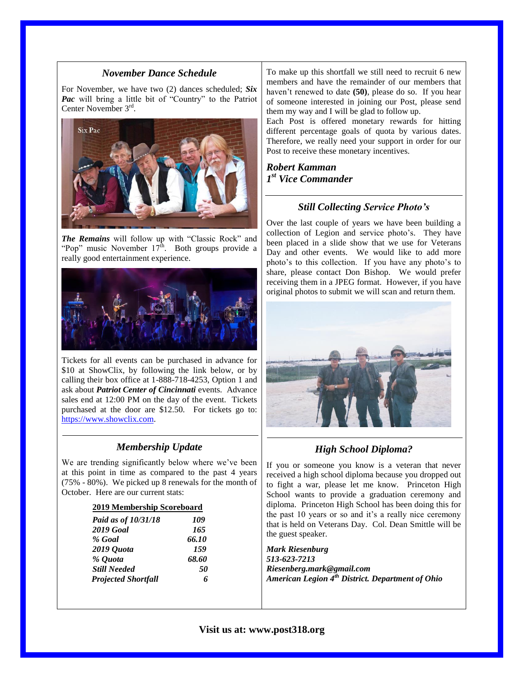#### *November Dance Schedule*

For November, we have two (2) dances scheduled; *Six Pac* will bring a little bit of "Country" to the Patriot Center November 3<sup>rd</sup>.



*The Remains* will follow up with "Classic Rock" and "Pop" music November  $17<sup>th</sup>$ . Both groups provide a really good entertainment experience.



Tickets for all events can be purchased in advance for \$10 at ShowClix, by following the link below, or by calling their box office at 1-888-718-4253, Option 1 and ask about *Patriot Center of Cincinnati* events. Advance sales end at 12:00 PM on the day of the event. Tickets purchased at the door are \$12.50. For tickets go to: [https://www.showclix.com.](https://www.showclix.com/)

## *Membership Update*

We are trending significantly below where we've been at this point in time as compared to the past 4 years (75% - 80%). We picked up 8 renewals for the month of October. Here are our current stats:

| 2019 Membership Scoreboard |       |  |
|----------------------------|-------|--|
| Paid as of 10/31/18        | 109   |  |
| <b>2019 Goal</b>           | 165   |  |
| % Goal                     | 66.10 |  |
| 2019 Quota                 | 159   |  |
| % Quota                    | 68.60 |  |
| <b>Still Needed</b>        | 50    |  |
| <b>Projected Shortfall</b> |       |  |

To make up this shortfall we still need to recruit 6 new members and have the remainder of our members that haven't renewed to date **(50)**, please do so. If you hear of someone interested in joining our Post, please send them my way and I will be glad to follow up.

Each Post is offered monetary rewards for hitting different percentage goals of quota by various dates. Therefore, we really need your support in order for our Post to receive these monetary incentives.

*Robert Kamman 1 st Vice Commander*

## *Still Collecting Service Photo's*

Over the last couple of years we have been building a collection of Legion and service photo's. They have been placed in a slide show that we use for Veterans Day and other events. We would like to add more photo's to this collection. If you have any photo's to share, please contact Don Bishop. We would prefer receiving them in a JPEG format. However, if you have original photos to submit we will scan and return them.



## *High School Diploma?*

If you or someone you know is a veteran that never received a high school diploma because you dropped out to fight a war, please let me know. Princeton High School wants to provide a graduation ceremony and diploma. Princeton High School has been doing this for the past 10 years or so and it's a really nice ceremony that is held on Veterans Day. Col. Dean Smittle will be the guest speaker.

*Mark Riesenburg 513-623-7213 Riesenberg.mark@gmail.com American Legion 4th District. Department of Ohio*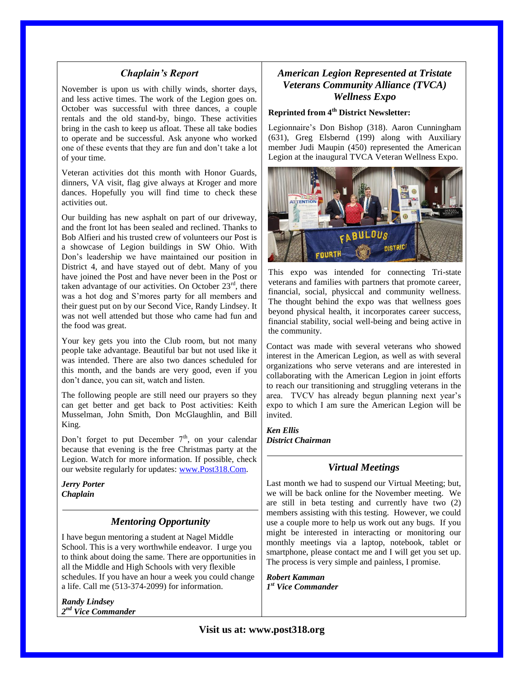#### *Chaplain's Report*

November is upon us with chilly winds, shorter days, and less active times. The work of the Legion goes on. October was successful with three dances, a couple rentals and the old stand-by, bingo. These activities bring in the cash to keep us afloat. These all take bodies to operate and be successful. Ask anyone who worked one of these events that they are fun and don't take a lot of your time.

Veteran activities dot this month with Honor Guards, dinners, VA visit, flag give always at Kroger and more dances. Hopefully you will find time to check these activities out.

Our building has new asphalt on part of our driveway, and the front lot has been sealed and reclined. Thanks to Bob Alfieri and his trusted crew of volunteers our Post is a showcase of Legion buildings in SW Ohio. With Don's leadership we have maintained our position in District 4, and have stayed out of debt. Many of you have joined the Post and have never been in the Post or taken advantage of our activities. On October  $23<sup>rd</sup>$ , there was a hot dog and S'mores party for all members and their guest put on by our Second Vice, Randy Lindsey. It was not well attended but those who came had fun and the food was great.

Your key gets you into the Club room, but not many people take advantage. Beautiful bar but not used like it was intended. There are also two dances scheduled for this month, and the bands are very good, even if you don't dance, you can sit, watch and listen.

The following people are still need our prayers so they can get better and get back to Post activities: Keith Musselman, John Smith, Don McGlaughlin, and Bill King.

Don't forget to put December  $7<sup>th</sup>$ , on your calendar because that evening is the free Christmas party at the Legion. Watch for more information. If possible, check our website regularly for updates: [www.Post318.Com.](http://www.post318.com/)

*Jerry Porter Chaplain*

## *Mentoring Opportunity*

I have begun mentoring a student at Nagel Middle School. This is a very worthwhile endeavor. I urge you to think about doing the same. There are opportunities in all the Middle and High Schools with very flexible schedules. If you have an hour a week you could change a life. Call me (513-374-2099) for information.

*Randy Lindsey 2 nd Vice Commander*

## *American Legion Represented at Tristate Veterans Community Alliance (TVCA) Wellness Expo*

#### **Reprinted from 4th District Newsletter:**

Legionnaire's Don Bishop (318). Aaron Cunningham (631), Greg Elsbernd (199) along with Auxiliary member Judi Maupin (450) represented the American Legion at the inaugural TVCA Veteran Wellness Expo.



This expo was intended for connecting Tri-state veterans and families with partners that promote career, financial, social, physiccal and community wellness. The thought behind the expo was that wellness goes beyond physical health, it incorporates career success, financial stability, social well-being and being active in the community.

Contact was made with several veterans who showed interest in the American Legion, as well as with several organizations who serve veterans and are interested in collaborating with the American Legion in joint efforts to reach our transitioning and struggling veterans in the area. TVCV has already begun planning next year's expo to which I am sure the American Legion will be invited.

*Ken Ellis District Chairman*

#### *Virtual Meetings*

Last month we had to suspend our Virtual Meeting; but, we will be back online for the November meeting. We are still in beta testing and currently have two (2) members assisting with this testing. However, we could use a couple more to help us work out any bugs. If you might be interested in interacting or monitoring our monthly meetings via a laptop, notebook, tablet or smartphone, please contact me and I will get you set up. The process is very simple and painless, I promise.

*Robert Kamman 1 st Vice Commander*